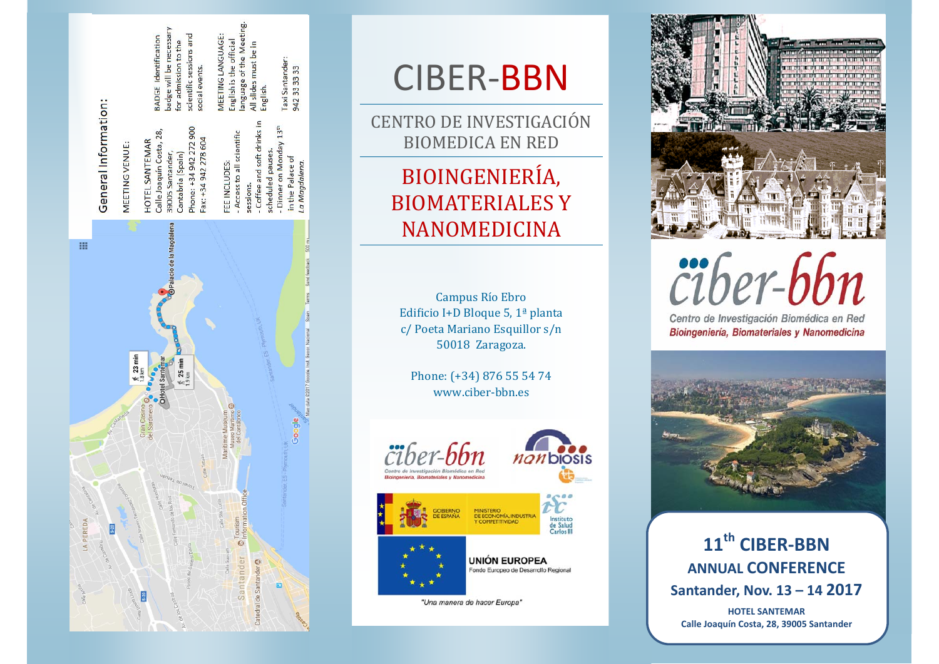

English is the official<br>language of the Meeting,

All slides must be in

English.

 $13<sup>th</sup>$ 

Taxi Santander:<br>942 33 33 33

MEETING LANGUAGE:

icientific sessions and

ooo

ocial events.

admission to the

 $\overline{a}$ 

will be neces

Identification

**BADGE** badge<sup>'</sup>

# CIBER‐BBN

CENTRO DE INVESTIGACIÓN BIOMEDICA EN RED

## BIOINGENIERI Ƶ**BIOMATERIALES Y** NANOMEDICINA

Campus Río Ebro Edificio I+D Bloque 5,  $1^{\text{a}}$  planta c/ Poeta Mariano Esquillor s/n 50018 Zaragoza.

Phone: (+34) 876 55 54 74 www.ciber‐bbn.es 







UNIÓN EUROPEA Fondo Europeo de Desarrollo Regional

"Una manera de hacer Europa"



Centro de Investigación Biomédica en Red

Bioingeniería, Biomateriales y Nanomedicina



**11th CIBER‐BBN ANNUAL CONFERENCE Santander, Nov. 13 – 14 2017**

**HOTEL SANTEMAR Calle Joaquín Costa, 28, 39005 Santander**